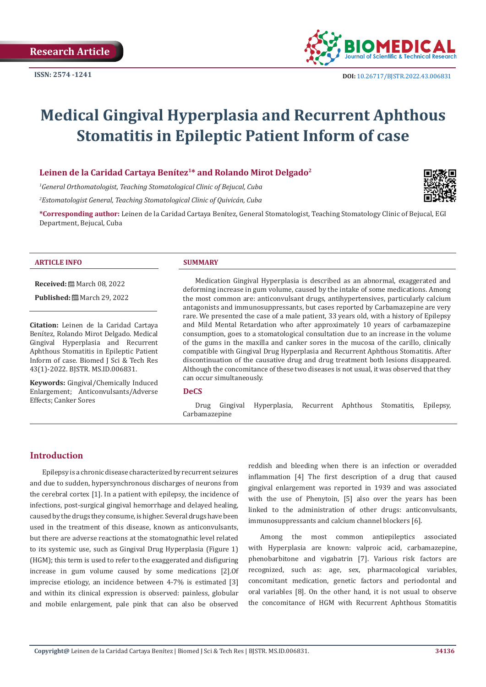

# **Medical Gingival Hyperplasia and Recurrent Aphthous Stomatitis in Epileptic Patient Inform of case**

### Leinen de la Caridad Cartaya Benítez<sup>1\*</sup> and Rolando Mirot Delgado<sup>2</sup>

*1 General Orthomatologist, Teaching Stomatological Clinic of Bejucal, Cuba* 

*2 Estomatologist General, Teaching Stomatological Clinic of Quivicán, Cuba*

**\*Corresponding author:** Leinen de la Caridad Cartaya Benítez, General Stomatologist, Teaching Stomatology Clinic of Bejucal, EGI Department, Bejucal, Cuba



**Received:** March 08, 2022

**Published:** ■ March 29, 2022

**Citation:** Leinen de la Caridad Cartaya Benítez, Rolando Mirot Delgado. Medical Gingival Hyperplasia and Recurrent Aphthous Stomatitis in Epileptic Patient Inform of case. Biomed J Sci & Tech Res 43(1)-2022. BJSTR. MS.ID.006831.

**Keywords:** Gingival/Chemically Induced Enlargement; Anticonvulsants/Adverse Effects; Canker Sores

Medication Gingival Hyperplasia is described as an abnormal, exaggerated and deforming increase in gum volume, caused by the intake of some medications. Among the most common are: anticonvulsant drugs, antihypertensives, particularly calcium antagonists and immunosuppressants, but cases reported by Carbamazepine are very rare. We presented the case of a male patient, 33 years old, with a history of Epilepsy and Mild Mental Retardation who after approximately 10 years of carbamazepine consumption, goes to a stomatological consultation due to an increase in the volume of the gums in the maxilla and canker sores in the mucosa of the carillo, clinically compatible with Gingival Drug Hyperplasia and Recurrent Aphthous Stomatitis. After discontinuation of the causative drug and drug treatment both lesions disappeared. Although the concomitance of these two diseases is not usual, it was observed that they can occur simultaneously.

#### **DeCS**

Drug Gingival Hyperplasia, Recurrent Aphthous Stomatitis, Epilepsy, Carbamazepine

#### **Introduction**

Epilepsy is a chronic disease characterized by recurrent seizures and due to sudden, hypersynchronous discharges of neurons from the cerebral cortex [1]. In a patient with epilepsy, the incidence of infections, post-surgical gingival hemorrhage and delayed healing, caused by the drugs they consume, is higher. Several drugs have been used in the treatment of this disease, known as anticonvulsants, but there are adverse reactions at the stomatognathic level related to its systemic use, such as Gingival Drug Hyperplasia (Figure 1) (HGM); this term is used to refer to the exaggerated and disfiguring increase in gum volume caused by some medications [2].Of imprecise etiology, an incidence between 4-7% is estimated [3] and within its clinical expression is observed: painless, globular and mobile enlargement, pale pink that can also be observed

reddish and bleeding when there is an infection or overadded inflammation [4] The first description of a drug that caused gingival enlargement was reported in 1939 and was associated with the use of Phenytoin, [5] also over the years has been linked to the administration of other drugs: anticonvulsants, immunosuppressants and calcium channel blockers [6].

Among the most common antiepileptics associated with Hyperplasia are known: valproic acid, carbamazepine, phenobarbitone and vigabatrin [7]. Various risk factors are recognized, such as: age, sex, pharmacological variables, concomitant medication, genetic factors and periodontal and oral variables [8]. On the other hand, it is not usual to observe the concomitance of HGM with Recurrent Aphthous Stomatitis

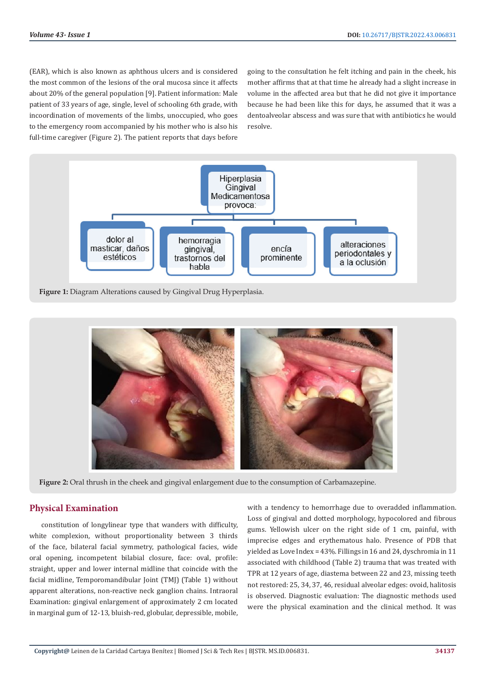(EAR), which is also known as aphthous ulcers and is considered the most common of the lesions of the oral mucosa since it affects about 20% of the general population [9]. Patient information: Male patient of 33 years of age, single, level of schooling 6th grade, with incoordination of movements of the limbs, unoccupied, who goes to the emergency room accompanied by his mother who is also his full-time caregiver (Figure 2). The patient reports that days before

going to the consultation he felt itching and pain in the cheek, his mother affirms that at that time he already had a slight increase in volume in the affected area but that he did not give it importance because he had been like this for days, he assumed that it was a dentoalveolar abscess and was sure that with antibiotics he would resolve.



**Figure 1:** Diagram Alterations caused by Gingival Drug Hyperplasia.



**Figure 2:** Oral thrush in the cheek and gingival enlargement due to the consumption of Carbamazepine.

# **Physical Examination**

constitution of longylinear type that wanders with difficulty, white complexion, without proportionality between 3 thirds of the face, bilateral facial symmetry, pathological facies, wide oral opening, incompetent bilabial closure, face: oval, profile: straight, upper and lower internal midline that coincide with the facial midline, Temporomandibular Joint (TMJ) (Table 1) without apparent alterations, non-reactive neck ganglion chains. Intraoral Examination: gingival enlargement of approximately 2 cm located in marginal gum of 12-13, bluish-red, globular, depressible, mobile,

with a tendency to hemorrhage due to overadded inflammation. Loss of gingival and dotted morphology, hypocolored and fibrous gums. Yellowish ulcer on the right side of 1 cm, painful, with imprecise edges and erythematous halo. Presence of PDB that yielded as Love Index = 43%. Fillings in 16 and 24, dyschromia in 11 associated with childhood (Table 2) trauma that was treated with TPR at 12 years of age, diastema between 22 and 23, missing teeth not restored: 25, 34, 37, 46, residual alveolar edges: ovoid, halitosis is observed. Diagnostic evaluation: The diagnostic methods used were the physical examination and the clinical method. It was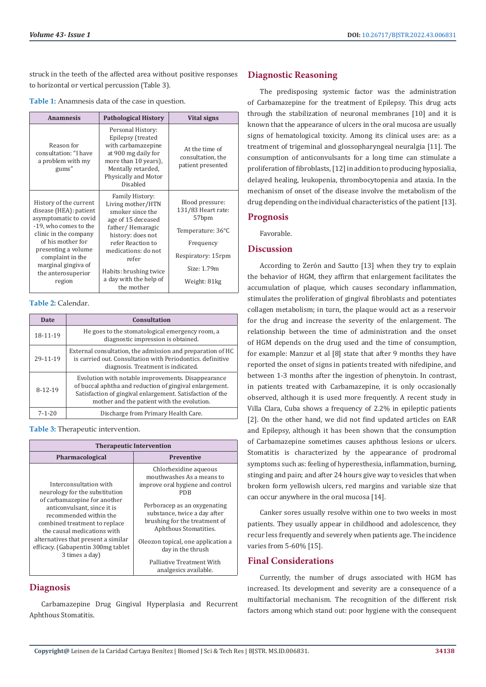struck in the teeth of the affected area without positive responses to horizontal or vertical percussion (Table 3).

| Table 1: Anamnesis data of the case in question. |  |  |
|--------------------------------------------------|--|--|
|--------------------------------------------------|--|--|

| <b>Anamnesis</b>                                                                                                                                                                                                                                   | <b>Pathological History</b>                                                                                                                                                                                                                    | Vital signs                                                                                                                           |
|----------------------------------------------------------------------------------------------------------------------------------------------------------------------------------------------------------------------------------------------------|------------------------------------------------------------------------------------------------------------------------------------------------------------------------------------------------------------------------------------------------|---------------------------------------------------------------------------------------------------------------------------------------|
| Reason for<br>consultation: "I have<br>a problem with my<br>gums"                                                                                                                                                                                  | Personal History:<br>Epilepsy (treated<br>with carbamazepine<br>at 900 mg daily for<br>more than 10 years),<br>Mentally retarded,<br>Physically and Motor<br>Disabled                                                                          | At the time of<br>consultation, the<br>patient presented                                                                              |
| History of the current<br>disease (HEA): patient<br>asymptomatic to covid<br>-19, who comes to the<br>clinic in the company<br>of his mother for<br>presenting a volume<br>complaint in the<br>marginal gingiya of<br>the anterosuperior<br>region | Family History:<br>Living mother/HTN<br>smoker since the<br>age of 15 deceased<br>father/Hemaragic<br>history: does not<br>refer Reaction to<br>medications: do not<br>refer<br>Habits: brushing twice<br>a day with the help of<br>the mother | Blood pressure:<br>131/83 Heart rate:<br>57bpm<br>Temperature: 36°C<br>Frequency<br>Respiratory: 15rpm<br>Size: 1.79m<br>Weight: 81kg |

#### **Table 2:** Calendar.

| Date          | Consultation                                                                                                                                                                                                             |  |
|---------------|--------------------------------------------------------------------------------------------------------------------------------------------------------------------------------------------------------------------------|--|
| 18-11-19      | He goes to the stomatological emergency room, a<br>diagnostic impression is obtained.                                                                                                                                    |  |
| 29-11-19      | External consultation, the admission and preparation of HC<br>is carried out. Consultation with Periodontics, definitive<br>diagnosis. Treatment is indicated.                                                           |  |
| $8 - 12 - 19$ | Evolution with notable improvements. Disappearance<br>of buccal aphtha and reduction of gingival enlargement.<br>Satisfaction of gingival enlargement. Satisfaction of the<br>mother and the patient with the evolution. |  |
| $7 - 1 - 20$  | Discharge from Primary Health Care.                                                                                                                                                                                      |  |

**Table 3:** Therapeutic intervention.

| <b>Therapeutic Intervention</b>                                                                                                                                                                                                                                                                                  |                                                                                                                                                                                                                                                                                                                                          |  |  |
|------------------------------------------------------------------------------------------------------------------------------------------------------------------------------------------------------------------------------------------------------------------------------------------------------------------|------------------------------------------------------------------------------------------------------------------------------------------------------------------------------------------------------------------------------------------------------------------------------------------------------------------------------------------|--|--|
| <b>Pharmacological</b>                                                                                                                                                                                                                                                                                           | <b>Preventive</b>                                                                                                                                                                                                                                                                                                                        |  |  |
| Interconsultation with<br>neurology for the substitution<br>of carbamazepine for another<br>anticonvulsant, since it is<br>recommended within the<br>combined treatment to replace<br>the causal medications with<br>alternatives that present a similar<br>efficacy. (Gabapentin 300mg tablet<br>3 times a day) | Chlorhexidine aqueous<br>mouthwashes As a means to<br>improve oral hygiene and control<br>PDB<br>Perboracep as an oxygenating<br>substance, twice a day after<br>brushing for the treatment of<br>Aphthous Stomatities.<br>Oleozon topical, one application a<br>day in the thrush<br>Palliative Treatment With<br>analgesics available. |  |  |

# **Diagnosis**

Carbamazepine Drug Gingival Hyperplasia and Recurrent Aphthous Stomatitis.

# **Diagnostic Reasoning**

The predisposing systemic factor was the administration of Carbamazepine for the treatment of Epilepsy. This drug acts through the stabilization of neuronal membranes [10] and it is known that the appearance of ulcers in the oral mucosa are usually signs of hematological toxicity. Among its clinical uses are: as a treatment of trigeminal and glossopharyngeal neuralgia [11]. The consumption of anticonvulsants for a long time can stimulate a proliferation of fibroblasts, [12] in addition to producing hyposialia, delayed healing, leukopenia, thrombocytopenia and ataxia. In the mechanism of onset of the disease involve the metabolism of the drug depending on the individual characteristics of the patient [13].

## **Prognosis**

Favorable.

# **Discussion**

According to Zerón and Sautto [13] when they try to explain the behavior of HGM, they affirm that enlargement facilitates the accumulation of plaque, which causes secondary inflammation, stimulates the proliferation of gingival fibroblasts and potentiates collagen metabolism; in turn, the plaque would act as a reservoir for the drug and increase the severity of the enlargement. The relationship between the time of administration and the onset of HGM depends on the drug used and the time of consumption, for example: Manzur et al [8] state that after 9 months they have reported the onset of signs in patients treated with nifedipine, and between 1-3 months after the ingestion of phenytoin. In contrast, in patients treated with Carbamazepine, it is only occasionally observed, although it is used more frequently. A recent study in Villa Clara, Cuba shows a frequency of 2.2% in epileptic patients [2]. On the other hand, we did not find updated articles on EAR and Epilepsy, although it has been shown that the consumption of Carbamazepine sometimes causes aphthous lesions or ulcers. Stomatitis is characterized by the appearance of prodromal symptoms such as: feeling of hyperesthesia, inflammation, burning, stinging and pain; and after 24 hours give way to vesicles that when broken form yellowish ulcers, red margins and variable size that can occur anywhere in the oral mucosa [14].

Canker sores usually resolve within one to two weeks in most patients. They usually appear in childhood and adolescence, they recur less frequently and severely when patients age. The incidence varies from 5-60% [15].

### **Final Considerations**

Currently, the number of drugs associated with HGM has increased. Its development and severity are a consequence of a multifactorial mechanism. The recognition of the different risk factors among which stand out: poor hygiene with the consequent